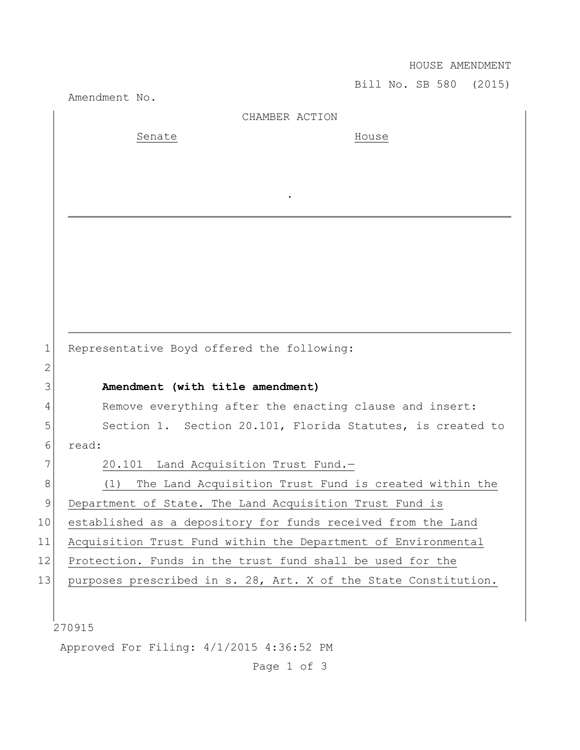HOUSE AMENDMENT

Bill No. SB 580 (2015) Amendment No. 270915 Approved For Filing: 4/1/2015 4:36:52 PM CHAMBER ACTION Senate House . 1 Representative Boyd offered the following: 2 3 **Amendment (with title amendment)** 4 Remove everything after the enacting clause and insert: 5 Section 1. Section 20.101, Florida Statutes, is created to 6 read: 7 20.101 Land Acquisition Trust Fund.-8 (1) The Land Acquisition Trust Fund is created within the 9 Department of State. The Land Acquisition Trust Fund is 10 established as a depository for funds received from the Land 11 Acquisition Trust Fund within the Department of Environmental 12 Protection. Funds in the trust fund shall be used for the 13 purposes prescribed in s. 28, Art. X of the State Constitution.

Page 1 of 3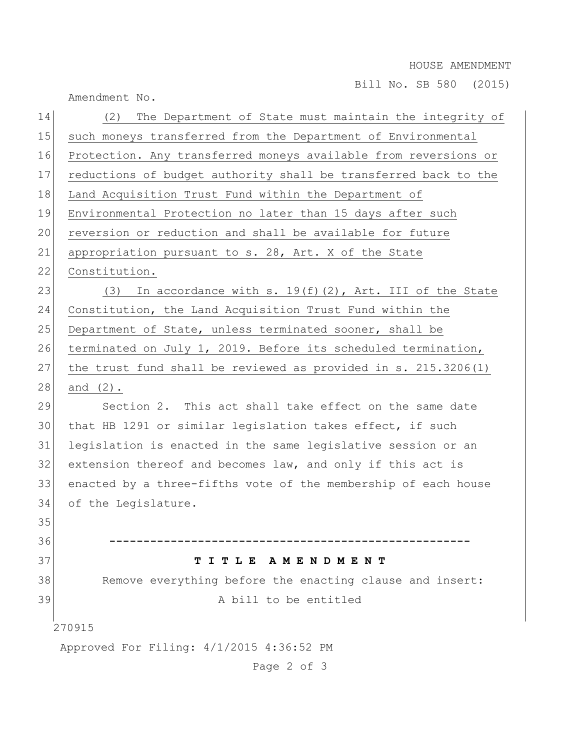HOUSE AMENDMENT

Bill No. SB 580 (2015)

Amendment No.

| 14 | The Department of State must maintain the integrity of<br>(2)   |
|----|-----------------------------------------------------------------|
| 15 | such moneys transferred from the Department of Environmental    |
| 16 | Protection. Any transferred moneys available from reversions or |
| 17 | reductions of budget authority shall be transferred back to the |
| 18 | Land Acquisition Trust Fund within the Department of            |
| 19 | Environmental Protection no later than 15 days after such       |
| 20 | reversion or reduction and shall be available for future        |
| 21 | appropriation pursuant to s. 28, Art. X of the State            |
| 22 | Constitution.                                                   |
| 23 | In accordance with s. $19(f)(2)$ , Art. III of the State<br>(3) |
| 24 | Constitution, the Land Acquisition Trust Fund within the        |
| 25 | Department of State, unless terminated sooner, shall be         |
| 26 | terminated on July 1, 2019. Before its scheduled termination,   |
| 27 | the trust fund shall be reviewed as provided in s. 215.3206(1)  |
| 28 | and $(2)$ .                                                     |
| 29 | Section 2. This act shall take effect on the same date          |
| 30 | that HB 1291 or similar legislation takes effect, if such       |
| 31 | legislation is enacted in the same legislative session or an    |
| 32 | extension thereof and becomes law, and only if this act is      |
| 33 | enacted by a three-fifths vote of the membership of each house  |
| 34 | of the Legislature.                                             |
| 35 |                                                                 |
| 36 |                                                                 |
| 37 | TITLE<br>A M E N D M E N T                                      |
| 38 | Remove everything before the enacting clause and insert:        |
| 39 | A bill to be entitled                                           |
|    | 270915                                                          |
|    | Approved For Filing: 4/1/2015 4:36:52 PM                        |
|    |                                                                 |

Page 2 of 3